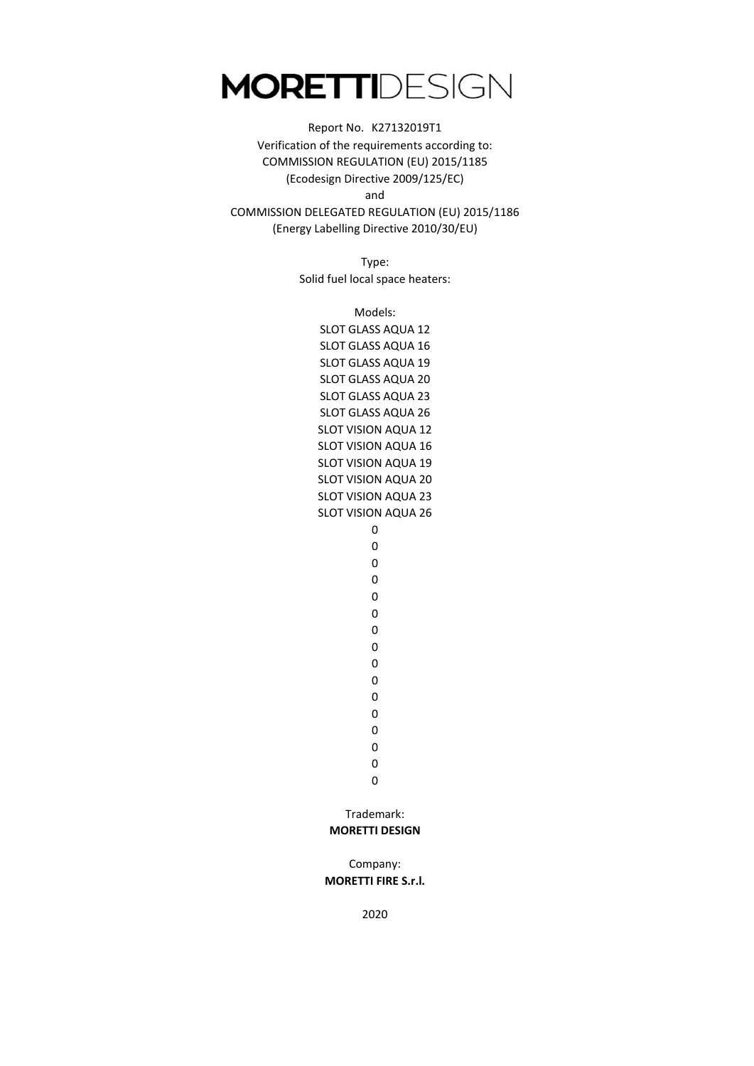#### and Report No. K27132019T1 Verification of the requirements according to: COMMISSION REGULATION (EU) 2015/1185 (Ecodesign Directive 2009/125/EC)

COMMISSION DELEGATED REGULATION (EU) 2015/1186 (Energy Labelling Directive 2010/30/EU)

> Type: Solid fuel local space heaters:

> > SLOT VISION AQUA 19 SLOT VISION AQUA 20 SLOT VISION AQUA 23 SLOT VISION AQUA 26 SLOT GLASS AQUA 19 SLOT GLASS AQUA 20 SLOT GLASS AQUA 23 SLOT GLASS AQUA 26 SLOT VISION AQUA 12 SLOT VISION AQUA 16 Models: SLOT GLASS AQUA 12 SLOT GLASS AQUA 16

0 0

0

0 0

Trademark:

**MORETTI DESIGN**

Company: **MORETTI FIRE S.r.l.**

2020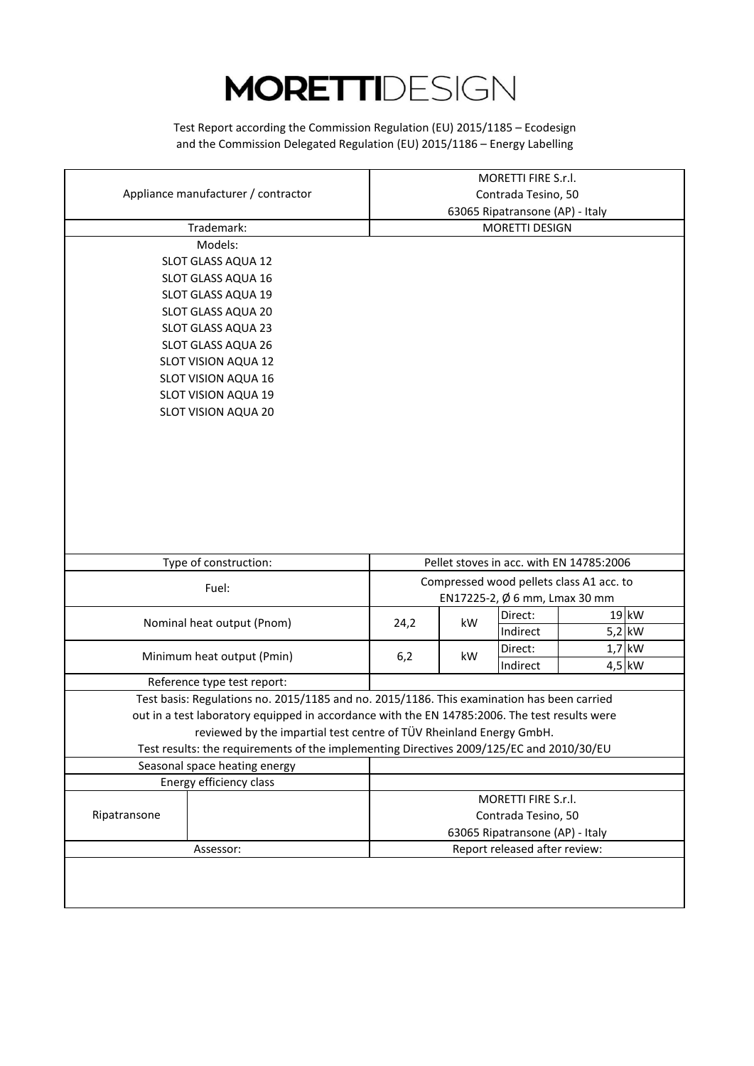and the Commission Delegated Regulation (EU) 2015/1186 – Energy Labelling Test Report according the Commission Regulation (EU) 2015/1185 – Ecodesign

|                                                                                               |                                 |    | MORETTI FIRE S.r.l.                                              |  |          |
|-----------------------------------------------------------------------------------------------|---------------------------------|----|------------------------------------------------------------------|--|----------|
| Appliance manufacturer / contractor                                                           |                                 |    | Contrada Tesino, 50                                              |  |          |
|                                                                                               | 63065 Ripatransone (AP) - Italy |    |                                                                  |  |          |
| Trademark:                                                                                    |                                 |    | MORETTI DESIGN                                                   |  |          |
| Models:                                                                                       |                                 |    |                                                                  |  |          |
| SLOT GLASS AQUA 12                                                                            |                                 |    |                                                                  |  |          |
| SLOT GLASS AQUA 16                                                                            |                                 |    |                                                                  |  |          |
| SLOT GLASS AQUA 19                                                                            |                                 |    |                                                                  |  |          |
| SLOT GLASS AQUA 20                                                                            |                                 |    |                                                                  |  |          |
| SLOT GLASS AQUA 23                                                                            |                                 |    |                                                                  |  |          |
| SLOT GLASS AQUA 26                                                                            |                                 |    |                                                                  |  |          |
| SLOT VISION AQUA 12                                                                           |                                 |    |                                                                  |  |          |
| SLOT VISION AQUA 16                                                                           |                                 |    |                                                                  |  |          |
| SLOT VISION AQUA 19                                                                           |                                 |    |                                                                  |  |          |
| SLOT VISION AQUA 20                                                                           |                                 |    |                                                                  |  |          |
|                                                                                               |                                 |    |                                                                  |  |          |
|                                                                                               |                                 |    |                                                                  |  |          |
|                                                                                               |                                 |    |                                                                  |  |          |
|                                                                                               |                                 |    |                                                                  |  |          |
|                                                                                               |                                 |    |                                                                  |  |          |
|                                                                                               |                                 |    |                                                                  |  |          |
|                                                                                               |                                 |    |                                                                  |  |          |
|                                                                                               |                                 |    |                                                                  |  |          |
|                                                                                               |                                 |    |                                                                  |  |          |
|                                                                                               |                                 |    |                                                                  |  |          |
| Type of construction:                                                                         |                                 |    | Pellet stoves in acc. with EN 14785:2006                         |  |          |
| Fuel:                                                                                         |                                 |    | Compressed wood pellets class A1 acc. to                         |  |          |
|                                                                                               |                                 |    | EN17225-2, Ø 6 mm, Lmax 30 mm                                    |  |          |
| Nominal heat output (Pnom)                                                                    | 24,2                            | kW | Direct:                                                          |  | 19 kW    |
|                                                                                               |                                 |    | Indirect                                                         |  | $5,2$ kW |
| Minimum heat output (Pmin)                                                                    | 6,2                             | kW | Direct:                                                          |  | $1,7$ kW |
|                                                                                               |                                 |    | Indirect                                                         |  | 4,5 kW   |
| Reference type test report:                                                                   |                                 |    |                                                                  |  |          |
| Test basis: Regulations no. 2015/1185 and no. 2015/1186. This examination has been carried    |                                 |    |                                                                  |  |          |
| out in a test laboratory equipped in accordance with the EN 14785:2006. The test results were |                                 |    |                                                                  |  |          |
| reviewed by the impartial test centre of TÜV Rheinland Energy GmbH.                           |                                 |    |                                                                  |  |          |
| Test results: the requirements of the implementing Directives 2009/125/EC and 2010/30/EU      |                                 |    |                                                                  |  |          |
| Seasonal space heating energy                                                                 |                                 |    |                                                                  |  |          |
| Energy efficiency class                                                                       |                                 |    |                                                                  |  |          |
|                                                                                               |                                 |    | MORETTI FIRE S.r.l.                                              |  |          |
| Ripatransone                                                                                  |                                 |    | Contrada Tesino, 50                                              |  |          |
| Assessor:                                                                                     |                                 |    | 63065 Ripatransone (AP) - Italy<br>Report released after review: |  |          |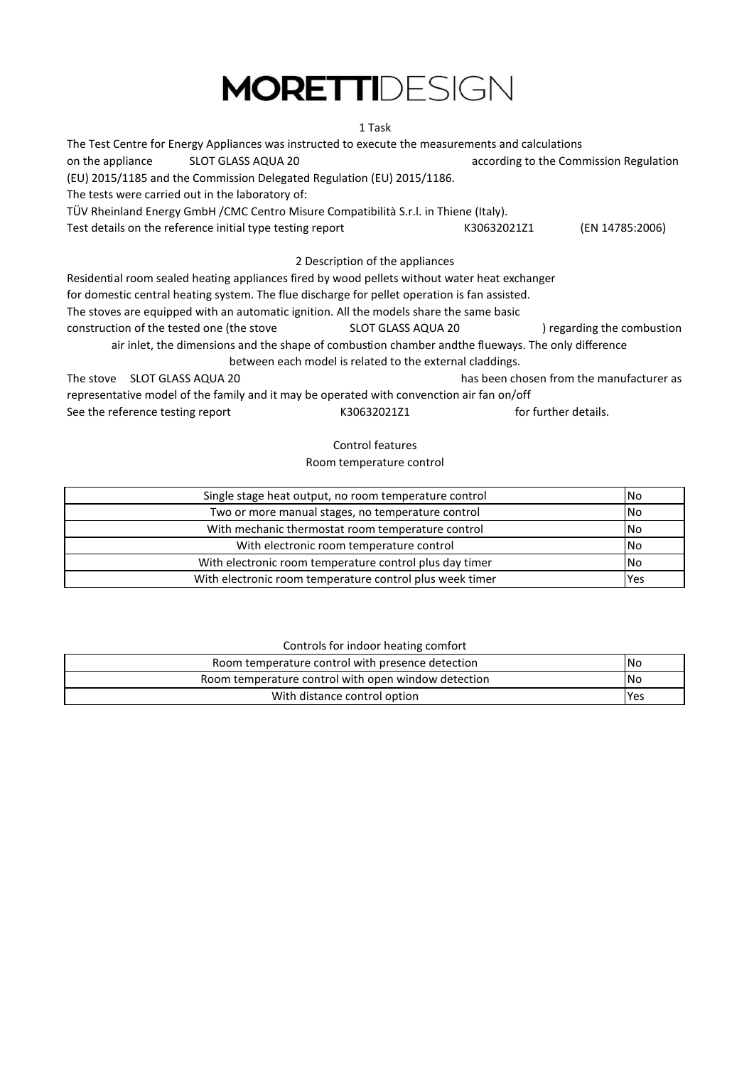#### 1 Task

| The Test Centre for Energy Appliances was instructed to execute the measurements and calculations  |                                                          |                                        |                                          |  |
|----------------------------------------------------------------------------------------------------|----------------------------------------------------------|----------------------------------------|------------------------------------------|--|
| on the appliance<br>SLOT GLASS AQUA 20                                                             |                                                          | according to the Commission Regulation |                                          |  |
| (EU) 2015/1185 and the Commission Delegated Regulation (EU) 2015/1186.                             |                                                          |                                        |                                          |  |
| The tests were carried out in the laboratory of:                                                   |                                                          |                                        |                                          |  |
| TÜV Rheinland Energy GmbH / CMC Centro Misure Compatibilità S.r.l. in Thiene (Italy).              |                                                          |                                        |                                          |  |
| Test details on the reference initial type testing report                                          |                                                          | K30632021Z1                            | (EN 14785:2006)                          |  |
|                                                                                                    | 2 Description of the appliances                          |                                        |                                          |  |
| Residential room sealed heating appliances fired by wood pellets without water heat exchanger      |                                                          |                                        |                                          |  |
| for domestic central heating system. The flue discharge for pellet operation is fan assisted.      |                                                          |                                        |                                          |  |
| The stoves are equipped with an automatic ignition. All the models share the same basic            |                                                          |                                        |                                          |  |
| construction of the tested one (the stove                                                          | SLOT GLASS AQUA 20                                       |                                        | ) regarding the combustion               |  |
| air inlet, the dimensions and the shape of combustion chamber andthe flueways. The only difference |                                                          |                                        |                                          |  |
|                                                                                                    | between each model is related to the external claddings. |                                        |                                          |  |
| The stove SLOT GLASS AQUA 20                                                                       |                                                          |                                        | has been chosen from the manufacturer as |  |
| representative model of the family and it may be operated with convenction air fan on/off          |                                                          |                                        |                                          |  |
| See the reference testing report<br>for further details.<br>K30632021Z1                            |                                                          |                                        |                                          |  |
|                                                                                                    |                                                          |                                        |                                          |  |

#### Control features

Room temperature control

| Single stage heat output, no room temperature control<br><b>No</b> |           |  |
|--------------------------------------------------------------------|-----------|--|
| Two or more manual stages, no temperature control                  | <b>No</b> |  |
| With mechanic thermostat room temperature control                  | <b>No</b> |  |
| With electronic room temperature control                           | <b>No</b> |  |
| With electronic room temperature control plus day timer            | <b>No</b> |  |
| With electronic room temperature control plus week timer           | Yes       |  |

#### Controls for indoor heating comfort

| Room temperature control with presence detection    | <b>No</b> |
|-----------------------------------------------------|-----------|
| Room temperature control with open window detection | 'No       |
| With distance control option                        | Yes       |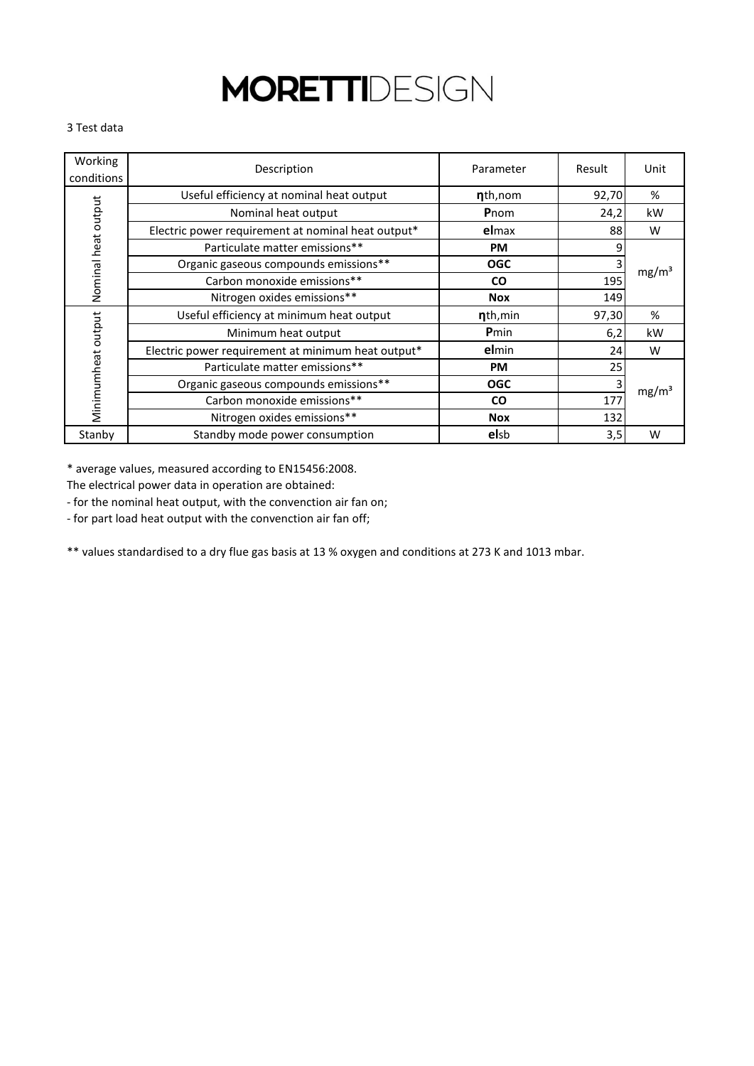#### 3 Test data

| Working<br>conditions | Description                                        | Parameter            | Result | Unit              |
|-----------------------|----------------------------------------------------|----------------------|--------|-------------------|
|                       | Useful efficiency at nominal heat output           | nth, nom             | 92,70  | %                 |
| Nominal heat output   | Nominal heat output                                | Pnom                 | 24,2   | kW                |
|                       | Electric power requirement at nominal heat output* | elmax                | 88     | W                 |
|                       | Particulate matter emissions**                     | <b>PM</b>            | Ω      |                   |
|                       | Organic gaseous compounds emissions**              | <b>OGC</b>           |        | mg/m <sup>3</sup> |
|                       | Carbon monoxide emissions**                        | <b>CO</b>            | 195    |                   |
|                       | Nitrogen oxides emissions**                        | <b>Nox</b>           | 149    |                   |
|                       | Useful efficiency at minimum heat output           | n <sub>th, min</sub> | 97,30  | %                 |
|                       | Minimum heat output                                | Pmin                 | 6,2    | kW                |
|                       | Electric power requirement at minimum heat output* | elmin                | 24     | W                 |
|                       | Particulate matter emissions**                     | <b>PM</b>            | 25     |                   |
|                       | Organic gaseous compounds emissions**              | <b>OGC</b>           |        | mg/m <sup>3</sup> |
| Minimumheat output    | Carbon monoxide emissions**                        | <b>CO</b>            | 177    |                   |
|                       | Nitrogen oxides emissions**                        | <b>Nox</b>           | 132    |                   |
| Stanby                | Standby mode power consumption                     | elsb                 | 3,5    | W                 |

\* average values, measured according to EN15456:2008.

The electrical power data in operation are obtained:

- for the nominal heat output, with the convenction air fan on;

- for part load heat output with the convenction air fan off;

\*\* values standardised to a dry flue gas basis at 13 % oxygen and conditions at 273 K and 1013 mbar.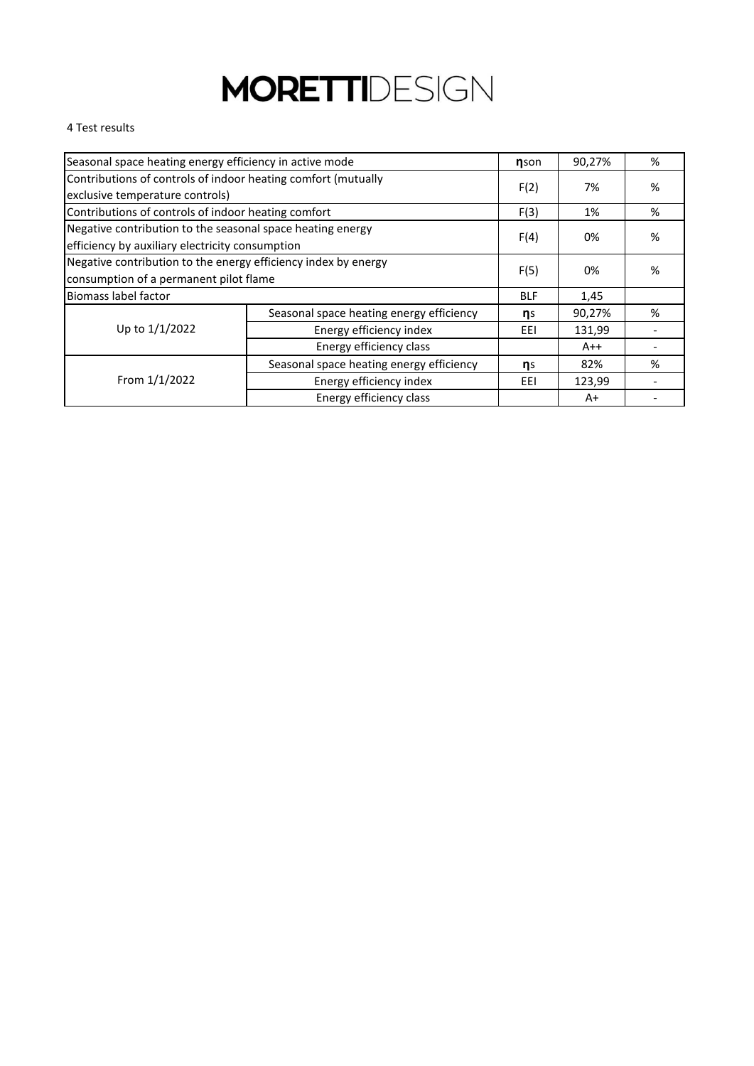#### 4 Test results

| Seasonal space heating energy efficiency in active mode                                                       |                                          |      | 90,27% | % |
|---------------------------------------------------------------------------------------------------------------|------------------------------------------|------|--------|---|
| Contributions of controls of indoor heating comfort (mutually<br>exclusive temperature controls)              |                                          |      | 7%     | % |
| Contributions of controls of indoor heating comfort                                                           |                                          | F(3) | 1%     | % |
| Negative contribution to the seasonal space heating energy<br>efficiency by auxiliary electricity consumption |                                          | F(4) | 0%     | % |
| Negative contribution to the energy efficiency index by energy<br>consumption of a permanent pilot flame      |                                          | F(5) | 0%     | % |
| Biomass label factor                                                                                          |                                          |      | 1,45   |   |
|                                                                                                               | Seasonal space heating energy efficiency | ηs   | 90,27% | % |
| Up to 1/1/2022                                                                                                | Energy efficiency index                  | EEI  | 131,99 |   |
| Energy efficiency class                                                                                       |                                          |      | $A++$  |   |
| Seasonal space heating energy efficiency                                                                      |                                          | ηs   | 82%    | % |
| From 1/1/2022                                                                                                 | Energy efficiency index                  | EEI  | 123,99 |   |
|                                                                                                               | Energy efficiency class                  |      | A+     |   |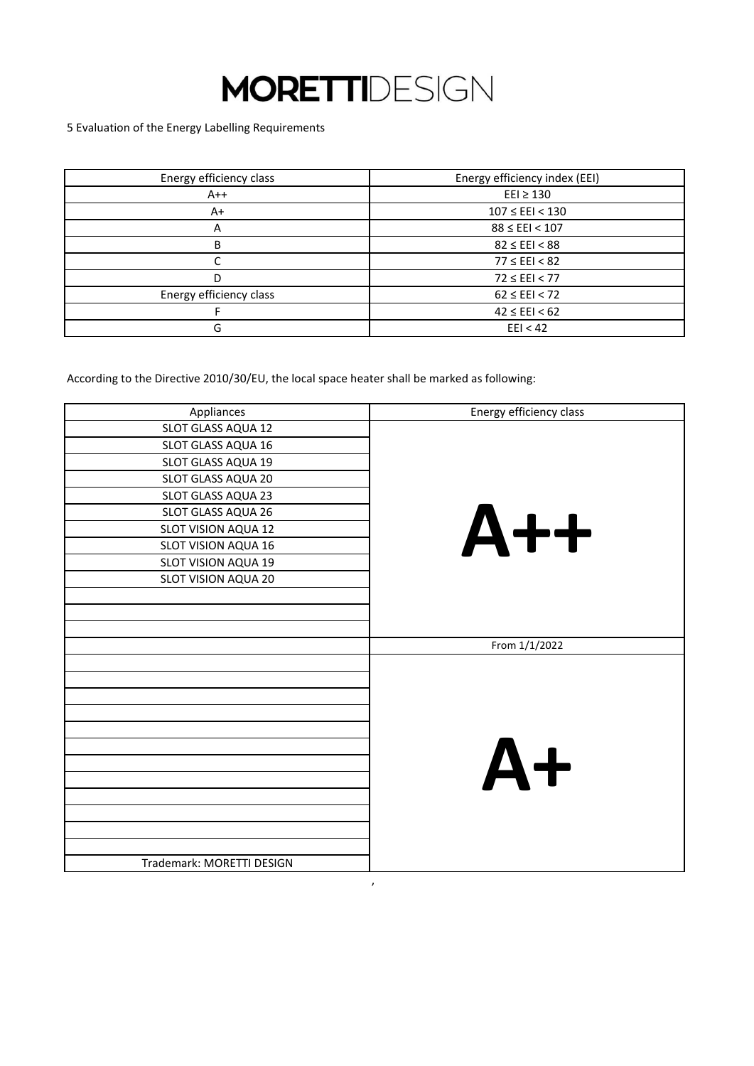5 Evaluation of the Energy Labelling Requirements

| Energy efficiency class | Energy efficiency index (EEI) |
|-------------------------|-------------------------------|
| $A++$                   | $E E I \ge 130$               |
| $A+$                    | $107 \leq EEI < 130$          |
| A                       | $88 \leq EEI < 107$           |
| B                       | $82 \leq EEI < 88$            |
|                         | $77 \leq E E1 < 82$           |
| D                       | $72 \leq EEI < 77$            |
| Energy efficiency class | $62 \leq EEI < 72$            |
|                         | $42 \leq EEI < 62$            |
| G                       | E E I < 42                    |

According to the Directive 2010/30/EU, the local space heater shall be marked as following:

| Appliances                | Energy efficiency class |
|---------------------------|-------------------------|
| SLOT GLASS AQUA 12        |                         |
| SLOT GLASS AQUA 16        |                         |
| SLOT GLASS AQUA 19        |                         |
| SLOT GLASS AQUA 20        |                         |
| SLOT GLASS AQUA 23        |                         |
| SLOT GLASS AQUA 26        |                         |
| SLOT VISION AQUA 12       | $A++$                   |
| SLOT VISION AQUA 16       |                         |
| SLOT VISION AQUA 19       |                         |
| SLOT VISION AQUA 20       |                         |
|                           |                         |
|                           |                         |
|                           |                         |
|                           | From 1/1/2022           |
|                           |                         |
|                           |                         |
|                           |                         |
|                           |                         |
|                           |                         |
|                           |                         |
|                           | $A+$                    |
|                           |                         |
|                           |                         |
|                           |                         |
|                           |                         |
|                           |                         |
| Trademark: MORETTI DESIGN |                         |

,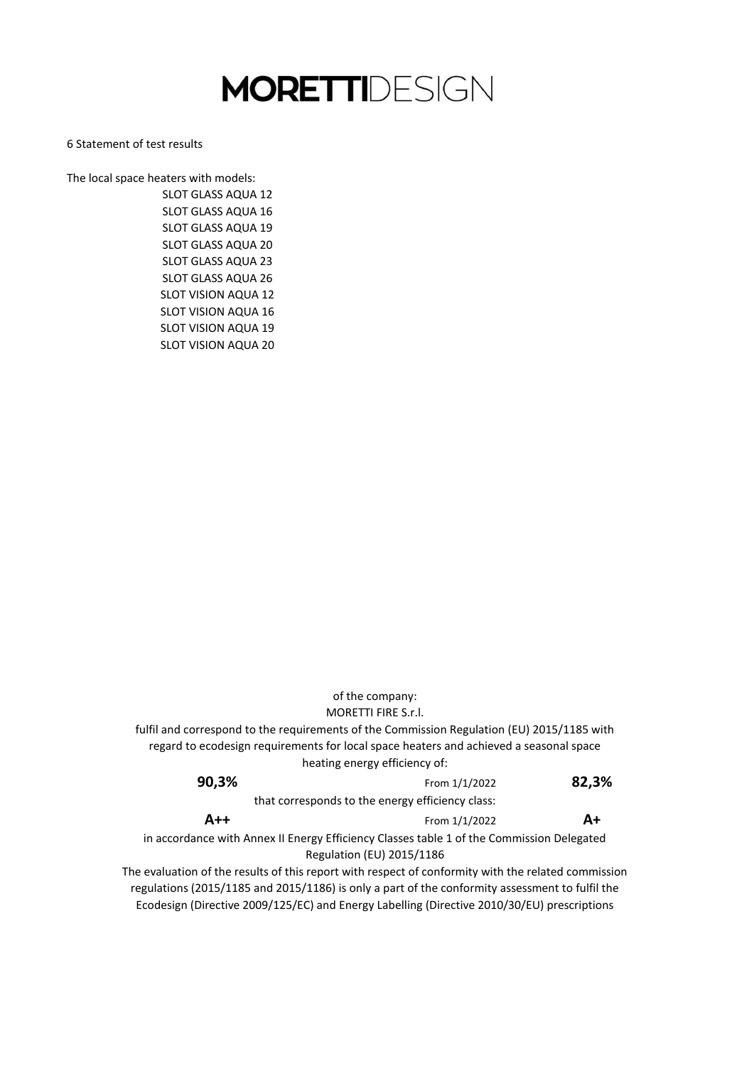6 Statement of test results

The local space heaters with models: SLOT GLASS AQUA 23 SLOT GLASS AQUA 26 SLOT VISION AQUA 12 SLOT VISION AQUA 16 SLOT VISION AQUA 19 SLOT VISION AQUA 20 SLOT GLASS AQUA 12 SLOT GLASS AQUA 16 SLOT GLASS AQUA 19 SLOT GLASS AQUA 20

> MORETTI FIRE S.r.l. fulfil and correspond to the requirements of the Commission Regulation (EU) 2015/1185 with regard to ecodesign requirements for local space heaters and achieved a seasonal space heating energy efficiency of: Ecodesign (Directive 2009/125/EC) and Energy Labelling (Directive 2010/30/EU) prescriptions that corresponds to the energy efficiency class: in accordance with Annex II Energy Efficiency Classes table 1 of the Commission Delegated Regulation (EU) 2015/1186 The evaluation of the results of this report with respect of conformity with the related commission regulations (2015/1185 and 2015/1186) is only a part of the conformity assessment to fulfil the of the company: **90,3% A++** From 1/1/2022 From 1/1/2022 **82,3% A+**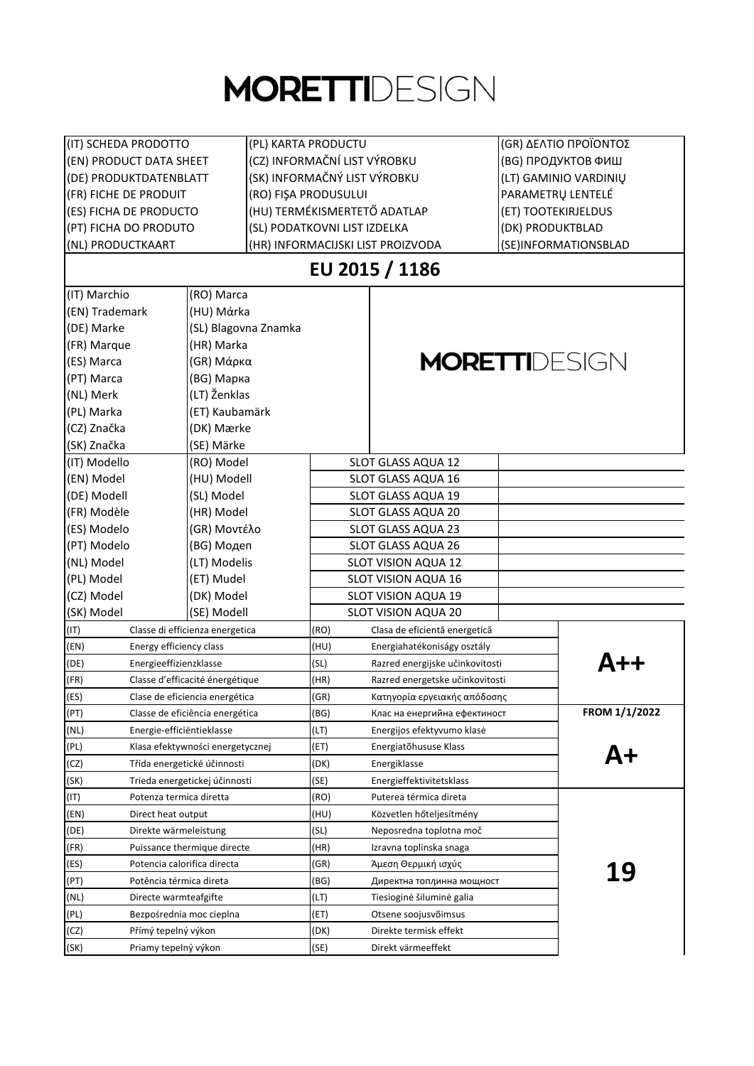| (IT) SCHEDA PRODOTTO                |                                                         | (PL) KARTA PRODUCTU          |                                   | (GR) ΔΕΛΤΙΟ ΠΡΟΪΟΝΤΟΣ |  |
|-------------------------------------|---------------------------------------------------------|------------------------------|-----------------------------------|-----------------------|--|
|                                     | (CZ) INFORMAČNÍ LIST VÝROBKU<br>(EN) PRODUCT DATA SHEET |                              |                                   | (BG) ПРОДУКТОВ ФИШ    |  |
| (DE) PRODUKTDATENBLATT              |                                                         | (SK) INFORMAČNÝ LIST VÝROBKU |                                   | (LT) GAMINIO VARDINIŲ |  |
| (FR) FICHE DE PRODUIT               |                                                         | (RO) FIŞA PRODUSULUI         |                                   | PARAMETRŲ LENTELÉ     |  |
| (ES) FICHA DE PRODUCTO              |                                                         | (HU) TERMÉKISMERTETŐ ADATLAP |                                   | (ET) TOOTEKIRJELDUS   |  |
| (PT) FICHA DO PRODUTO               |                                                         | (SL) PODATKOVNI LIST IZDELKA |                                   | (DK) PRODUKTBLAD      |  |
| (NL) PRODUCTKAART                   |                                                         |                              | (HR) INFORMACIJSKI LIST PROIZVODA | (SE)INFORMATIONSBLAD  |  |
|                                     |                                                         |                              | EU 2015 / 1186                    |                       |  |
| (IT) Marchio                        | (RO) Marca                                              |                              |                                   |                       |  |
| (EN) Trademark                      | (HU) Márka                                              |                              |                                   |                       |  |
| (DE) Marke                          | (SL) Blagovna Znamka                                    |                              |                                   |                       |  |
| (FR) Marque                         | (HR) Marka                                              |                              |                                   |                       |  |
| (ES) Marca                          | (GR) Μάρκα                                              |                              |                                   | <b>MORETTI</b> DESIGN |  |
| (PT) Marca                          | (BG) Марка                                              |                              |                                   |                       |  |
| (NL) Merk                           | (LT) Ženklas                                            |                              |                                   |                       |  |
| (PL) Marka                          | (ET) Kaubamärk                                          |                              |                                   |                       |  |
| (CZ) Značka                         | (DK) Mærke                                              |                              |                                   |                       |  |
| (SK) Značka                         | (SE) Märke                                              |                              |                                   |                       |  |
| (IT) Modello                        | (RO) Model                                              |                              | SLOT GLASS AQUA 12                |                       |  |
| (EN) Model                          | (HU) Modell                                             |                              | SLOT GLASS AQUA 16                |                       |  |
| (DE) Modell                         | (SL) Model                                              |                              | SLOT GLASS AQUA 19                |                       |  |
| (FR) Modèle                         | (HR) Model                                              |                              | SLOT GLASS AQUA 20                |                       |  |
| (ES) Modelo                         | (GR) Μοντέλο                                            |                              | SLOT GLASS AQUA 23                |                       |  |
| (PT) Modelo                         | (BG) Модеп                                              |                              | SLOT GLASS AQUA 26                |                       |  |
| (NL) Model                          | (LT) Modelis                                            |                              | SLOT VISION AQUA 12               |                       |  |
| (PL) Model                          | (ET) Mudel                                              |                              | SLOT VISION AQUA 16               |                       |  |
| (CZ) Model                          | (DK) Model                                              |                              | <b>SLOT VISION AQUA 19</b>        |                       |  |
| (SK) Model                          | (SE) Modell                                             |                              | <b>SLOT VISION AQUA 20</b>        |                       |  |
| (IT)                                | Classe di efficienza energetica                         | (RO)                         | Clasa de eficientă energetică     |                       |  |
| (EN)<br>Energy efficiency class     |                                                         | (HU)                         | Energiahatékoniságy osztály       |                       |  |
| (DE)<br>Energieeffizienzklasse      |                                                         | (SL)                         | Razred energijske učinkovitosti   |                       |  |
| (FR)                                | Classe d'efficacité énergétique                         | (HR)                         | Razred energetske učinkovitosti   |                       |  |
| (ES)                                | Clase de eficiencia energética                          | (GR)                         | Κατηγορία εργειακής απόδοσης      |                       |  |
| (PT)                                | Classe de eficiência energética                         | (BG)                         | Клас на енергийна ефектиност      | FROM 1/1/2022         |  |
| (NL)<br>Energie-efficiëntieklasse   |                                                         | (LT)                         | Energijos efektyvumo klasė        |                       |  |
| (PL)                                | Klasa efektywności energetycznej                        | (ET)                         | Energiatõhususe Klass             |                       |  |
| (CZ)                                | Třída energetické účinnosti                             | (DK)                         | Energiklasse                      |                       |  |
| (SK)                                | Trieda energetickej účinnosti                           | (SE)                         | Energieffektivitetsklass          |                       |  |
| (IT)<br>Potenza termica diretta     |                                                         | (RO)                         | Puterea térmica direta            |                       |  |
| (EN)<br>Direct heat output          |                                                         | (HU)                         | Közvetlen hőteljesítmény          |                       |  |
| (DE)<br>Direkte wärmeleistung       |                                                         | (SL)                         | Neposredna toplotna moč           |                       |  |
| (FR)                                | Puissance thermique directe                             | (HR)                         | Izravna toplinska snaga           |                       |  |
| (ES)<br>Potencia calorifica directa |                                                         | (GR)                         | Άμεση Θερμική ισχύς               | 19                    |  |
| (PT)<br>Potência térmica direta     |                                                         | (BG)                         | Директна топлинна мощност         |                       |  |
| (NL)<br>Directe warmteafgifte       |                                                         | (LT)                         | Tiesioginė šiluminė galia         |                       |  |
| (PL)<br>Bezpośrednia moc cieplna    |                                                         | (ET)                         | Otsene soojusvõimsus              |                       |  |
| (CZ)<br>Přímý tepelný výkon         |                                                         | (DK)                         | Direkte termisk effekt            |                       |  |
| (SK)<br>Priamy tepelný výkon        |                                                         | (SE)                         | Direkt värmeeffekt                |                       |  |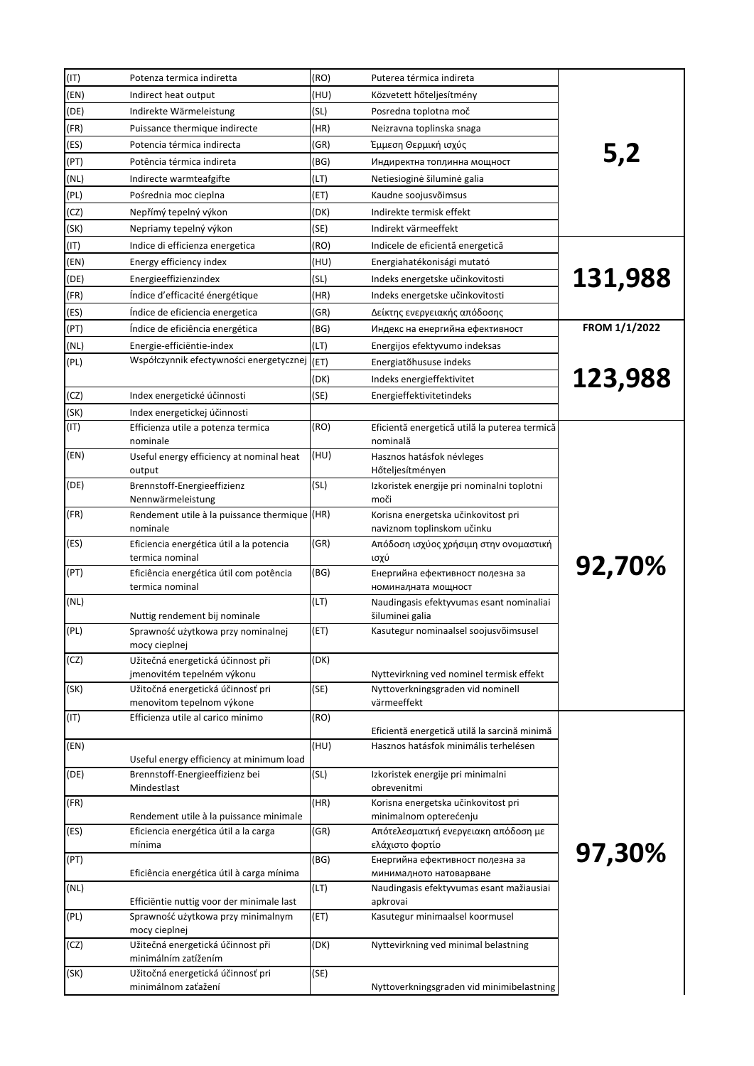| (IT) | Potenza termica indiretta                                                        | (RO) | Puterea térmica indireta                                          |               |
|------|----------------------------------------------------------------------------------|------|-------------------------------------------------------------------|---------------|
| (EN) | Indirect heat output                                                             | (HU) | Közvetett hőteljesítmény                                          |               |
| (DE) | Indirekte Wärmeleistung                                                          | (SL) | Posredna toplotna moč                                             |               |
| (FR) | Puissance thermique indirecte                                                    | (HR) | Neizravna toplinska snaga                                         |               |
| (ES) | Potencia térmica indirecta                                                       | (GR) | Έμμεση Θερμική ισχύς                                              |               |
| (PT) | Potência térmica indireta                                                        | (BG) | Индиректна топлинна мощност                                       | 5,2           |
| (NL) | Indirecte warmteafgifte                                                          | (LT) | Netiesioginė šiluminė galia                                       |               |
| (PL) | Pośrednia moc cieplna                                                            | (ET) | Kaudne soojusvõimsus                                              |               |
| (CZ) | Nepřímý tepelný výkon                                                            | (DK) | Indirekte termisk effekt                                          |               |
| (SK) | Nepriamy tepelný výkon                                                           | (SE) | Indirekt värmeeffekt                                              |               |
| (IT) | Indice di efficienza energetica                                                  | (RO) | Indicele de eficientă energetică                                  |               |
| (EN) | Energy efficiency index                                                          | (HU) | Energiahatékonisági mutató                                        |               |
| (DE) | Energieeffizienzindex                                                            | (SL) | Indeks energetske učinkovitosti                                   | 131,988       |
| (FR) | Indice d'efficacité énergétique                                                  | (HR) | Indeks energetske učinkovitosti                                   |               |
| (ES) | Indice de eficiencia energetica                                                  | (GR) | Δείκτης ενεργειακής απόδοσης                                      |               |
| (PT) | Indice de eficiência energética                                                  | (BG) | Индекс на енергийна ефективност                                   | FROM 1/1/2022 |
| (NL) | Energie-efficiëntie-index                                                        | (LT) | Energijos efektyvumo indeksas                                     |               |
| (PL) | Współczynnik efectywności energetycznej                                          | (ET) | Energiatõhususe indeks                                            |               |
|      |                                                                                  | (DK) | Indeks energieffektivitet                                         | 123,988       |
| (CZ) | Index energetické účinnosti                                                      | (SE) | Energieffektivitetindeks                                          |               |
| (SK) | Index energetickej účinnosti                                                     |      |                                                                   |               |
| (IT) | Efficienza utile a potenza termica<br>nominale                                   | (RO) | Eficientă energetică utilă la puterea termică<br>nominală         |               |
| (EN) | Useful energy efficiency at nominal heat<br>output                               | (HU) | Hasznos hatásfok névleges<br>Hőteljesítményen                     |               |
| (DE) | Brennstoff-Energieeffizienz<br>Nennwärmeleistung                                 | (SL) | Izkoristek energije pri nominalni toplotni<br>moči                |               |
| (FR) | Rendement utile à la puissance thermique (HR)<br>nominale                        |      | Korisna energetska učinkovitost pri<br>naviznom toplinskom učinku |               |
| (ES) | Eficiencia energética útil a la potencia<br>termica nominal                      | (GR) | Απόδοση ισχύος χρήσιμη στην ονομαστική<br>ισχύ                    |               |
| (PT) | Eficiência energética útil com potência<br>termica nominal                       | (BG) | Енергийна ефективност полезна за<br>номиналната мощност           | 92,70%        |
| (NL) | Nuttig rendement bij nominale                                                    | (LT) | Naudingasis efektyvumas esant nominaliai<br>šiluminei galia       |               |
| (PL) | Sprawność użytkowa przy nominalnej<br>mocy cieplnej                              | (ET) | Kasutegur nominaalsel soojusvõimsusel                             |               |
| (CZ) | Užitečná energetická účinnost při<br>jmenovitém tepelném výkonu                  | (DK) | Nyttevirkning ved nominel termisk effekt                          |               |
| (SK) | Užitočná energetická účinnosť pri                                                | (SE) | Nyttoverkningsgraden vid nominell                                 |               |
|      | menovitom tepelnom výkone                                                        |      | värmeeffekt                                                       |               |
| (TI) | Efficienza utile al carico minimo                                                | (RO) | Eficientă energetică utilă la sarcină minimă                      |               |
| (EN) | Useful energy efficiency at minimum load                                         | (HU) | Hasznos hatásfok minimális terhelésen                             |               |
| (DE) | Brennstoff-Energieeffizienz bei<br>Mindestlast                                   | (SL) | Izkoristek energije pri minimalni<br>obrevenitmi                  |               |
| (FR) |                                                                                  | (HR) | Korisna energetska učinkovitost pri                               |               |
| (ES) | Rendement utile à la puissance minimale<br>Eficiencia energética útil a la carga | (GR) | minimalnom opterećenju<br>Απότελεσματική ενεργειακη απόδοση με    |               |
|      | mínima                                                                           |      | ελάχιστο φορτίο                                                   | 97,30%        |
| (PT) | Eficiência energética útil à carga mínima                                        | (BG) | Енергийна ефективност полезна за<br>минималното натоварване       |               |
| (NL) | Efficiëntie nuttig voor der minimale last                                        | (LT) | Naudingasis efektyvumas esant mažiausiai<br>apkrovai              |               |
| (PL) | Sprawność użytkowa przy minimalnym<br>mocy cieplnej                              | (ET) | Kasutegur minimaalsel koormusel                                   |               |
| (CZ) | Užitečná energetická účinnost při<br>minimálním zatížením                        | (DK) | Nyttevirkning ved minimal belastning                              |               |
| (SK) | Užitočná energetická účinnosť pri<br>minimálnom zaťažení                         | (SE) | Nyttoverkningsgraden vid minimibelastning                         |               |